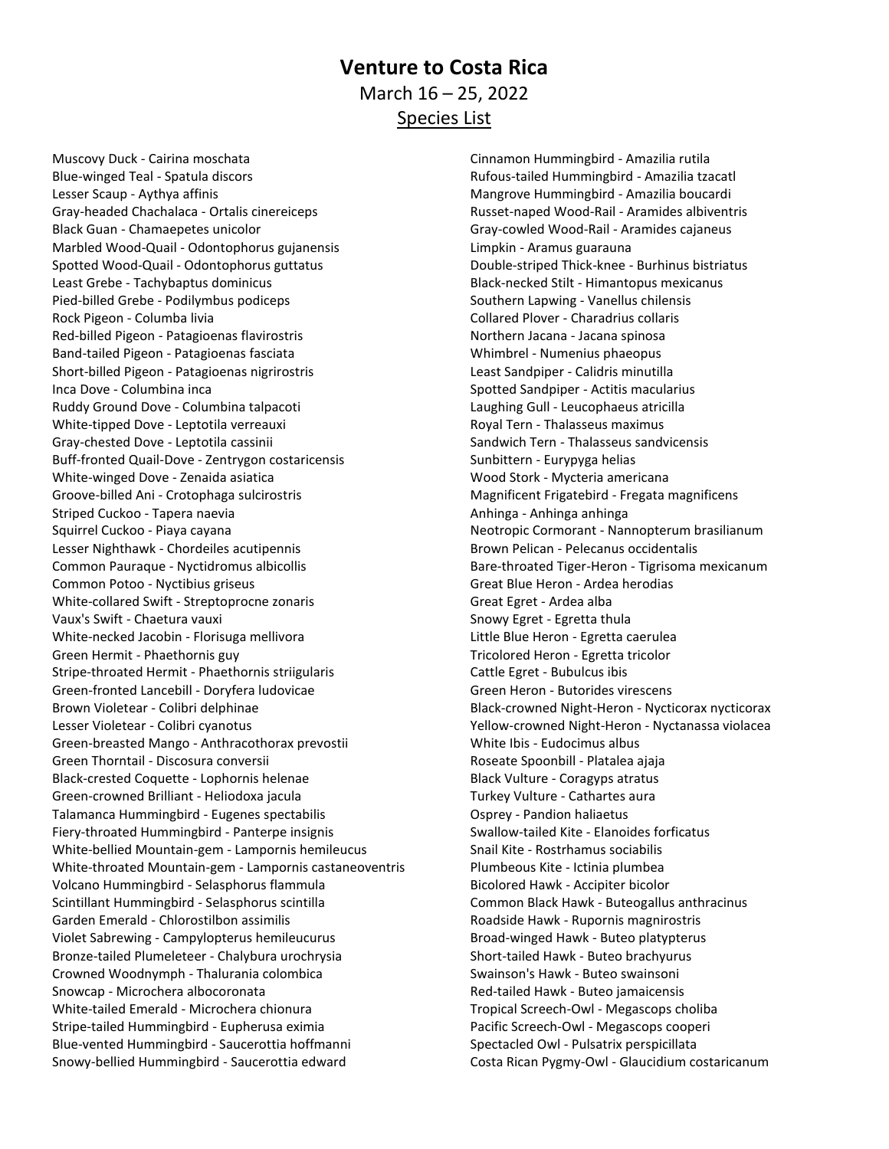## **Venture to Costa Rica** March 16 – 25, 2022 Species List

Muscovy Duck - Cairina moschata Blue-winged Teal - Spatula discors Lesser Scaup - Aythya affinis Gray-headed Chachalaca - Ortalis cinereiceps Black Guan - Chamaepetes unicolor Marbled Wood-Quail - Odontophorus gujanensis Spotted Wood-Quail - Odontophorus guttatus Least Grebe - Tachybaptus dominicus Pied-billed Grebe - Podilymbus podiceps Rock Pigeon - Columba livia Red-billed Pigeon - Patagioenas flavirostris Band-tailed Pigeon - Patagioenas fasciata Short-billed Pigeon - Patagioenas nigrirostris Inca Dove - Columbina inca Ruddy Ground Dove - Columbina talpacoti White-tipped Dove - Leptotila verreauxi Gray-chested Dove - Leptotila cassinii Buff-fronted Quail-Dove - Zentrygon costaricensis White-winged Dove - Zenaida asiatica Groove-billed Ani - Crotophaga sulcirostris Striped Cuckoo - Tapera naevia Squirrel Cuckoo - Piaya cayana Lesser Nighthawk - Chordeiles acutipennis Common Pauraque - Nyctidromus albicollis Common Potoo - Nyctibius griseus White-collared Swift - Streptoprocne zonaris Vaux's Swift - Chaetura vauxi White-necked Jacobin - Florisuga mellivora Green Hermit - Phaethornis guy Stripe-throated Hermit - Phaethornis striigularis Green-fronted Lancebill - Doryfera ludovicae Brown Violetear - Colibri delphinae Lesser Violetear - Colibri cyanotus Green-breasted Mango - Anthracothorax prevostii Green Thorntail - Discosura conversii Black-crested Coquette - Lophornis helenae Green-crowned Brilliant - Heliodoxa jacula Talamanca Hummingbird - Eugenes spectabilis Fiery-throated Hummingbird - Panterpe insignis White-bellied Mountain-gem - Lampornis hemileucus White-throated Mountain-gem - Lampornis castaneoventris Volcano Hummingbird - Selasphorus flammula Scintillant Hummingbird - Selasphorus scintilla Garden Emerald - Chlorostilbon assimilis Violet Sabrewing - Campylopterus hemileucurus Bronze-tailed Plumeleteer - Chalybura urochrysia Crowned Woodnymph - Thalurania colombica Snowcap - Microchera albocoronata White-tailed Emerald - Microchera chionura Stripe-tailed Hummingbird - Eupherusa eximia Blue-vented Hummingbird - Saucerottia hoffmanni Snowy-bellied Hummingbird - Saucerottia edward

Cinnamon Hummingbird - Amazilia rutila Rufous-tailed Hummingbird - Amazilia tzacatl Mangrove Hummingbird - Amazilia boucardi Russet-naped Wood-Rail - Aramides albiventris Gray-cowled Wood-Rail - Aramides cajaneus Limpkin - Aramus guarauna Double-striped Thick-knee - Burhinus bistriatus Black-necked Stilt - Himantopus mexicanus Southern Lapwing - Vanellus chilensis Collared Plover - Charadrius collaris Northern Jacana - Jacana spinosa Whimbrel - Numenius phaeopus Least Sandpiper - Calidris minutilla Spotted Sandpiper - Actitis macularius Laughing Gull - Leucophaeus atricilla Royal Tern - Thalasseus maximus Sandwich Tern - Thalasseus sandvicensis Sunbittern - Eurypyga helias Wood Stork - Mycteria americana Magnificent Frigatebird - Fregata magnificens Anhinga - Anhinga anhinga Neotropic Cormorant - Nannopterum brasilianum Brown Pelican - Pelecanus occidentalis Bare-throated Tiger-Heron - Tigrisoma mexicanum Great Blue Heron - Ardea herodias Great Egret - Ardea alba Snowy Egret - Egretta thula Little Blue Heron - Egretta caerulea Tricolored Heron - Egretta tricolor Cattle Egret - Bubulcus ibis Green Heron - Butorides virescens Black-crowned Night-Heron - Nycticorax nycticorax Yellow-crowned Night-Heron - Nyctanassa violacea White Ibis - Eudocimus albus Roseate Spoonbill - Platalea ajaja Black Vulture - Coragyps atratus Turkey Vulture - Cathartes aura Osprey - Pandion haliaetus Swallow-tailed Kite - Elanoides forficatus Snail Kite - Rostrhamus sociabilis Plumbeous Kite - Ictinia plumbea Bicolored Hawk - Accipiter bicolor Common Black Hawk - Buteogallus anthracinus Roadside Hawk - Rupornis magnirostris Broad-winged Hawk - Buteo platypterus Short-tailed Hawk - Buteo brachyurus Swainson's Hawk - Buteo swainsoni Red-tailed Hawk - Buteo jamaicensis Tropical Screech-Owl - Megascops choliba Pacific Screech-Owl - Megascops cooperi Spectacled Owl - Pulsatrix perspicillata Costa Rican Pygmy-Owl - Glaucidium costaricanum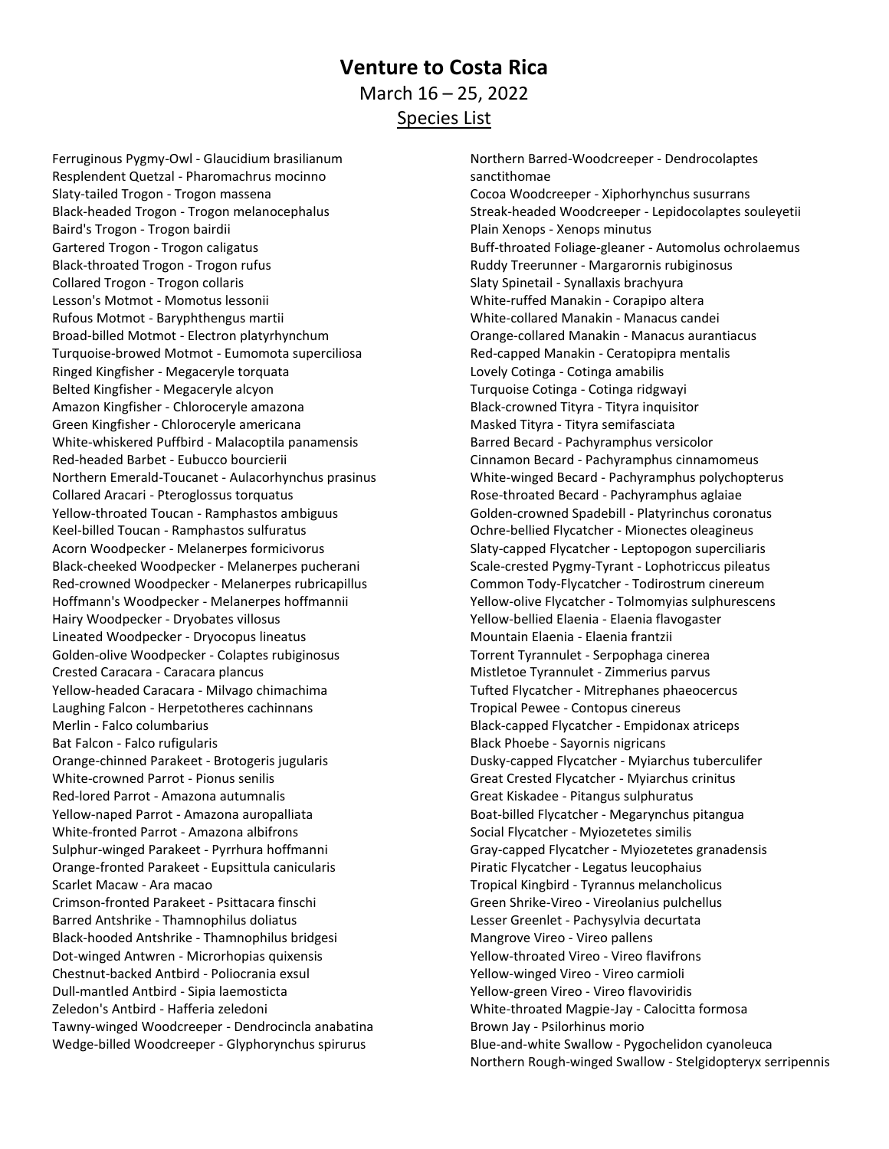## **Venture to Costa Rica** March 16 – 25, 2022 Species List

Ferruginous Pygmy-Owl - Glaucidium brasilianum Resplendent Quetzal - Pharomachrus mocinno Slaty-tailed Trogon - Trogon massena Black-headed Trogon - Trogon melanocephalus Baird's Trogon - Trogon bairdii Gartered Trogon - Trogon caligatus Black-throated Trogon - Trogon rufus Collared Trogon - Trogon collaris Lesson's Motmot - Momotus lessonii Rufous Motmot - Baryphthengus martii Broad-billed Motmot - Electron platyrhynchum Turquoise-browed Motmot - Eumomota superciliosa Ringed Kingfisher - Megaceryle torquata Belted Kingfisher - Megaceryle alcyon Amazon Kingfisher - Chloroceryle amazona Green Kingfisher - Chloroceryle americana White-whiskered Puffbird - Malacoptila panamensis Red-headed Barbet - Eubucco bourcierii Northern Emerald-Toucanet - Aulacorhynchus prasinus Collared Aracari - Pteroglossus torquatus Yellow-throated Toucan - Ramphastos ambiguus Keel-billed Toucan - Ramphastos sulfuratus Acorn Woodpecker - Melanerpes formicivorus Black-cheeked Woodpecker - Melanerpes pucherani Red-crowned Woodpecker - Melanerpes rubricapillus Hoffmann's Woodpecker - Melanerpes hoffmannii Hairy Woodpecker - Dryobates villosus Lineated Woodpecker - Dryocopus lineatus Golden-olive Woodpecker - Colaptes rubiginosus Crested Caracara - Caracara plancus Yellow-headed Caracara - Milvago chimachima Laughing Falcon - Herpetotheres cachinnans Merlin - Falco columbarius Bat Falcon - Falco rufigularis Orange-chinned Parakeet - Brotogeris jugularis White-crowned Parrot - Pionus senilis Red-lored Parrot - Amazona autumnalis Yellow-naped Parrot - Amazona auropalliata White-fronted Parrot - Amazona albifrons Sulphur-winged Parakeet - Pyrrhura hoffmanni Orange-fronted Parakeet - Eupsittula canicularis Scarlet Macaw - Ara macao Crimson-fronted Parakeet - Psittacara finschi Barred Antshrike - Thamnophilus doliatus Black-hooded Antshrike - Thamnophilus bridgesi Dot-winged Antwren - Microrhopias quixensis Chestnut-backed Antbird - Poliocrania exsul Dull-mantled Antbird - Sipia laemosticta Zeledon's Antbird - Hafferia zeledoni Tawny-winged Woodcreeper - Dendrocincla anabatina Wedge-billed Woodcreeper - Glyphorynchus spirurus

Northern Barred-Woodcreeper - Dendrocolaptes sanctithomae Cocoa Woodcreeper - Xiphorhynchus susurrans Streak-headed Woodcreeper - Lepidocolaptes souleyetii Plain Xenops - Xenops minutus Buff-throated Foliage-gleaner - Automolus ochrolaemus Ruddy Treerunner - Margarornis rubiginosus Slaty Spinetail - Synallaxis brachyura White-ruffed Manakin - Corapipo altera White-collared Manakin - Manacus candei Orange-collared Manakin - Manacus aurantiacus Red-capped Manakin - Ceratopipra mentalis Lovely Cotinga - Cotinga amabilis Turquoise Cotinga - Cotinga ridgwayi Black-crowned Tityra - Tityra inquisitor Masked Tityra - Tityra semifasciata Barred Becard - Pachyramphus versicolor Cinnamon Becard - Pachyramphus cinnamomeus White-winged Becard - Pachyramphus polychopterus Rose-throated Becard - Pachyramphus aglaiae Golden-crowned Spadebill - Platyrinchus coronatus Ochre-bellied Flycatcher - Mionectes oleagineus Slaty-capped Flycatcher - Leptopogon superciliaris Scale-crested Pygmy-Tyrant - Lophotriccus pileatus Common Tody-Flycatcher - Todirostrum cinereum Yellow-olive Flycatcher - Tolmomyias sulphurescens Yellow-bellied Elaenia - Elaenia flavogaster Mountain Elaenia - Elaenia frantzii Torrent Tyrannulet - Serpophaga cinerea Mistletoe Tyrannulet - Zimmerius parvus Tufted Flycatcher - Mitrephanes phaeocercus Tropical Pewee - Contopus cinereus Black-capped Flycatcher - Empidonax atriceps Black Phoebe - Sayornis nigricans Dusky-capped Flycatcher - Myiarchus tuberculifer Great Crested Flycatcher - Myiarchus crinitus Great Kiskadee - Pitangus sulphuratus Boat-billed Flycatcher - Megarynchus pitangua Social Flycatcher - Myiozetetes similis Gray-capped Flycatcher - Myiozetetes granadensis Piratic Flycatcher - Legatus leucophaius Tropical Kingbird - Tyrannus melancholicus Green Shrike-Vireo - Vireolanius pulchellus Lesser Greenlet - Pachysylvia decurtata Mangrove Vireo - Vireo pallens Yellow-throated Vireo - Vireo flavifrons Yellow-winged Vireo - Vireo carmioli Yellow-green Vireo - Vireo flavoviridis White-throated Magpie-Jay - Calocitta formosa Brown Jay - Psilorhinus morio Blue-and-white Swallow - Pygochelidon cyanoleuca Northern Rough-winged Swallow - Stelgidopteryx serripennis